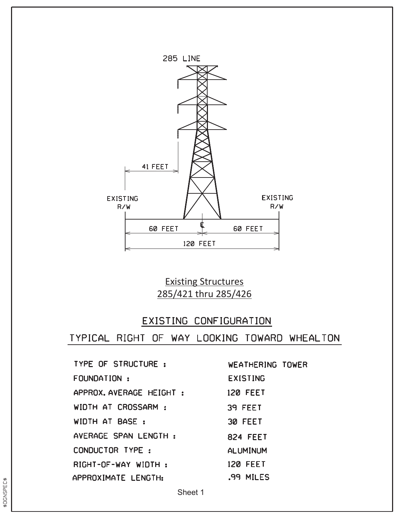

Existing Structures 285/421 thru 285/426

## EXISTING CONFIGURATION

TYPICAL RIGHT OF WAY LOOKING TOWARD WHEALTON

| TYPE OF STRUCTURE:      | <b>WEATHERING TOWER</b> |
|-------------------------|-------------------------|
| FOUNDATION:             | <b>EXISTING</b>         |
| APPROX.AVERAGE HEIGHT : | <b>120 FEET</b>         |
| WIDTH AT CROSSARM:      | 39 FEET                 |
| WIDTH AT BASE:          | 30 FEET                 |
| AVERAGE SPAN LENGTH:    | <b>824 FEET</b>         |
| CONDUCTOR TYPE:         | <b>ALUMINUM</b>         |
| RIGHT-OF-WAY WIDTH:     | <b>120 FEET</b>         |
| APPROXIMATE LENGTH:     | .99 MILES               |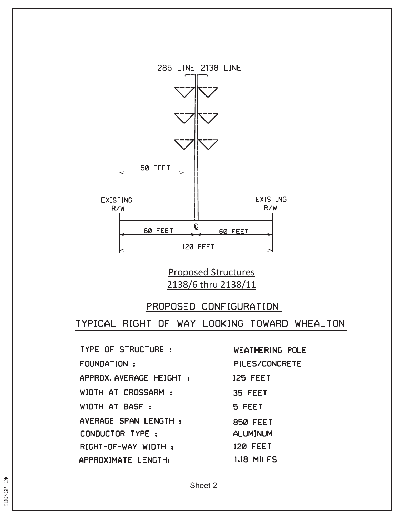

## Proposed Structures 2138/6 thru 2138/11

## PROPOSED CONFIGURATION

TYPICAL RIGHT OF WAY LOOKING TOWARD WHEALTON

**TYPE OF STRUCTURE:** FOUNDATION: APPROX. AVERAGE HEIGHT : WIDTH AT CROSSARM : WIDTH AT BASE: AVERAGE SPAN LENGTH : CONDUCTOR TYPE : RIGHT-OF-WAY WIDTH: APPROXIMATE LENGTH:

**WEATHERING POLE** PILES/CONCRETE **125 FEET** 35 FEET 5 FEET **850 FEET ALUMINUM 120 FEET 1.18 MILES**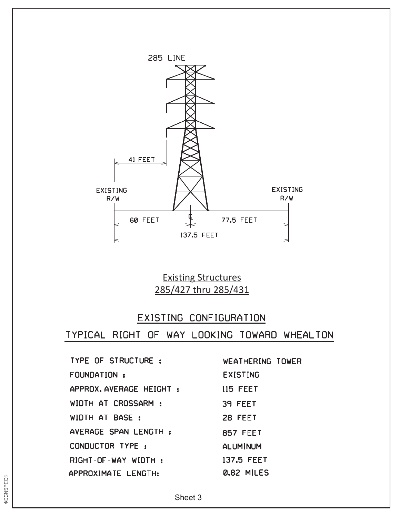

Existing Structures 285/427 thru 285/431

#### EXISTING CONFIGURATION

TYPICAL RIGHT OF WAY LOOKING TOWARD WHEALTON

TYPE OF STRUCTURE : FOUNDATION : APPROX. AVERAGE HEIGHT : 115 FEET WIDTH AT CROSSARM : WIDTH AT BASE: AVERAGE SPAN LENGTH : CONDUCTOR TYPE: RIGHT-OF-WAY WIDTH: APPROXIMATE LENGTH:

WEATHERING TOWER **EXISTING** 39 FEET 28 FEET **857 FEET ALUMINUM** 137.5 FEET **0.82 MILES**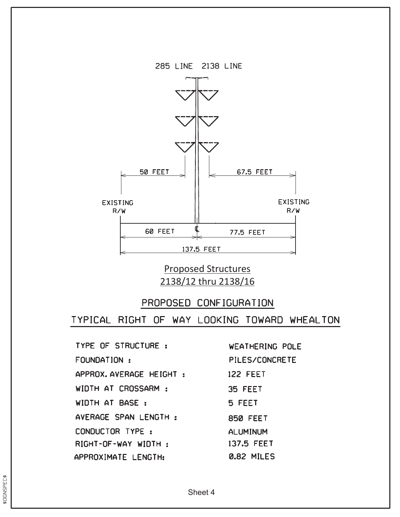

Proposed Structures 2138/12 thru 2138/16

#### PROPOSED CONFIGURATION

TYPICAL RIGHT OF WAY LOOKING TOWARD WHEALTON

**TYPE OF STRUCTURE:** FOUNDATION: APPROX.AVERAGE HEIGHT : WIDTH AT CROSSARM : WIDTH AT BASE: AVERAGE SPAN LENGTH : CONDUCTOR TYPE : RIGHT-OF-WAY WIDTH: APPROXIMATE LENGTH:

**WEATHERING POLE** PILES/CONCRETE 122 FEET 35 FEET 5 FEET **850 FEET ALUMINUM** 137.5 FEET 0.82 MILES

\$DGNSPEC\$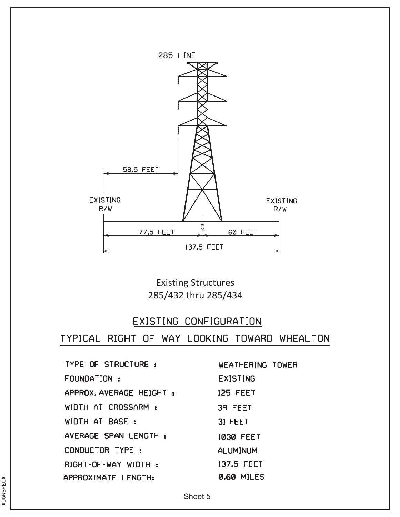

## Existing Structures 285/432 thru 285/434

## EXISTING CONFIGURATION

| <b>TYPE OF STRUCTURE:</b> | <b>WEATHERING TOWER</b> |
|---------------------------|-------------------------|
| FOUNDATION:               | <b>EXISTING</b>         |
| APPROX.AVERAGE HEIGHT:    | <b>125 FEET</b>         |
| WIDTH AT CROSSARM:        | 39 FEET                 |
| WIDTH AT BASE:            | 31 FEET                 |
| AVERAGE SPAN LENGTH:      | 1030 FEET               |
| CONDUCTOR TYPE:           | ALUMINUM                |
| RIGHT-OF-WAY WIDTH:       | 137.5 FEET              |
| APPROXIMATE LENGTH:       | 0.60 MILES              |
|                           |                         |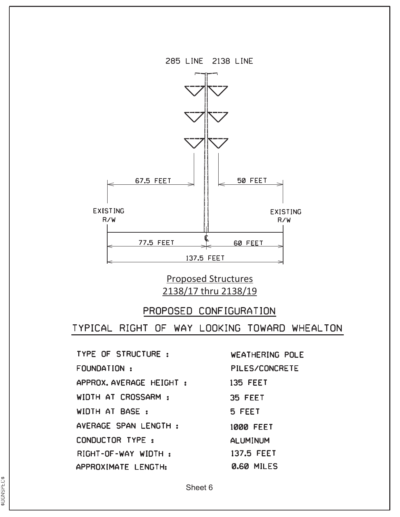

Proposed Structures 2138/17 thru 2138/19

#### PROPOSED CONFIGURATION

TYPICAL RIGHT OF WAY LOOKING TOWARD WHEALTON

TYPE OF STRUCTURE : FOUNDATION: APPROX.AVERAGE HEIGHT : WIDTH AT CROSSARM : WIDTH AT BASE: AVERAGE SPAN LENGTH : CONDUCTOR TYPE : RIGHT-OF-WAY WIDTH: APPROXIMATE LENGTH:

**WEATHERING POLE PILES/CONCRETE 135 FEET** 35 FEET 5 FEET **1000 FEET ALUMINUM** 137.5 FEET **0.60 MILES**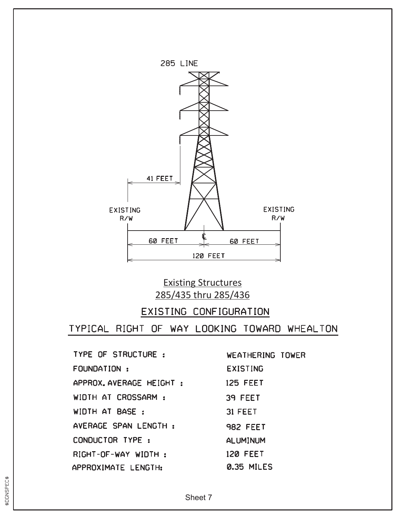

## Existing Structures 285/435 thru 285/436

## EXISTING CONFIGURATION

TYPICAL RIGHT OF WAY LOOKING TOWARD WHEALTON

TYPE OF STRUCTURE : FOUNDATION : APPROX.AVERAGE HEIGHT : WIDTH AT CROSSARM : WIDTH AT BASE: AVERAGE SPAN LENGTH : CONDUCTOR TYPE : RIGHT-OF-WAY WIDTH: APPROXIMATE LENGTH:

WEATHERING TOWER **EXISTING 125 FEET** 39 FEET 31 FEET **982 FEET ALUMINUM 120 FEET** 0.35 MILES

\$DGNSPEC\$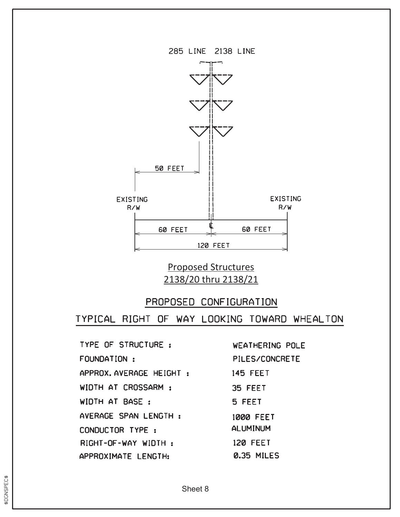

Proposed Structures 2138/20 thru 2138/21

#### PROPOSED CONFIGURATION

TYPICAL RIGHT OF WAY LOOKING TOWARD WHEALTON

TYPE OF STRUCTURE : FOUNDATION : APPROX.AVERAGE HEIGHT : WIDTH AT CROSSARM : WIDTH AT BASE: AVERAGE SPAN LENGTH : CONDUCTOR TYPE : RIGHT-OF-WAY WIDTH: APPROXIMATE LENGTH:

WEATHERING POLE **PILES/CONCRETE 145 FEET** 35 FEET 5 FEET **1000 FEET ALUMINUM 120 FEET 0.35 MILES** 

**BDGNSPEC\$**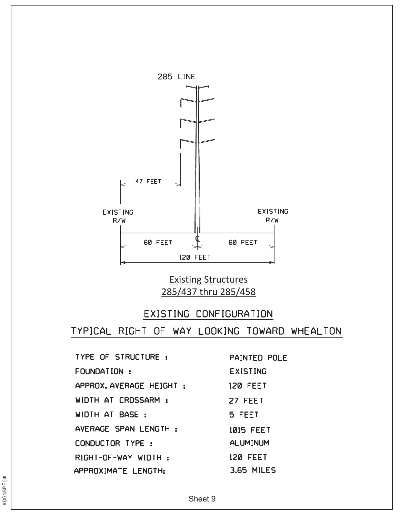

## Existing Structures 285/437 thru 285/458

## EXISTING CONFIGURATION

TYPICAL RIGHT OF WAY LOOKING TOWARD WHEALTON

| TYPE OF STRUCTURE :    | <b>PAINTED POLE</b> |
|------------------------|---------------------|
| FOUNDATION:            | <b>EXISTING</b>     |
| APPROX.AVERAGE HEIGHT: | <b>120 FEET</b>     |
| WIDTH AT CROSSARM :    | 27 FEET             |
| WIDTH AT BASE:         | 5 FEET              |
| AVERAGE SPAN LENGTH:   | 1015 FEET           |
| CONDUCTOR TYPE:        | <b>ALUMINUM</b>     |
| RIGHT-OF-WAY WIDTH:    | <b>120 FEET</b>     |
| APPROXIMATE LENGTH:    | <b>3.65 MILES</b>   |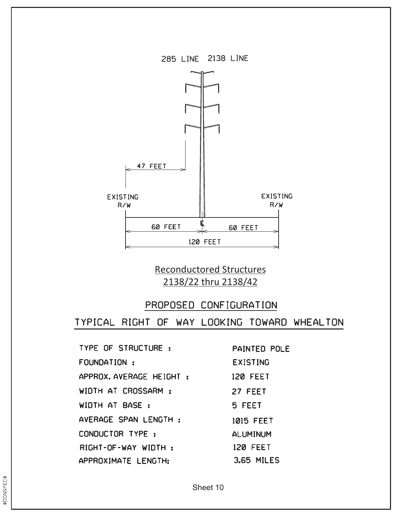

Reconductored Structures 2138/22 thru 2138/42

## PROPOSED CONFIGURATION

TYPICAL RIGHT OF WAY LOOKING TOWARD WHEALTON

| TYPE OF STRUCTURE:       | F |
|--------------------------|---|
| FOUNDATION:              | E |
| APPROX. AVERAGE HEIGHT : | 1 |
| WIDTH AT CROSSARM:       | 2 |
| WIDTH AT BASE:           | 5 |
| AVERAGE SPAN LENGTH:     | 1 |
| CONDUCTOR TYPE:          | A |
| RIGHT-OF-WAY WIDTH:      | 1 |
| APPROXIMATE LENGTH:      |   |

**PAINTED POLE EXISTING** 20 FEET 27 FEET **5 FEET 015 FEET ILUMINUM** 20 FEET **3.65 MILES**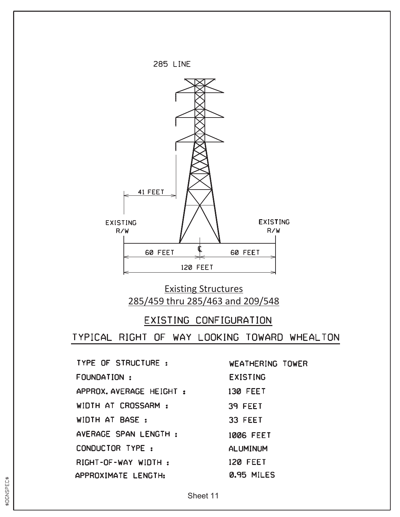

## Existing Structures 285/459 thru 285/463 and 209/548

#### EXISTING CONFIGURATION

TYPICAL RIGHT OF WAY LOOKING TOWARD WHEALTON

| <b>TYPE OF STRUCTURE:</b> |  |  |  |
|---------------------------|--|--|--|
| FOUNDATION:               |  |  |  |
| APPROX. AVERAGE HEIGHT :  |  |  |  |
| WIDTH AT CROSSARM:        |  |  |  |
| WIDTH AT BASE:            |  |  |  |
| AVERAGE SPAN LENGTH:      |  |  |  |
| CONDUCTOR TYPE:           |  |  |  |
| RIGHT-OF-WAY WIDTH:       |  |  |  |
| APPROXIMATE LENGTH:       |  |  |  |

WEATHERING TOWER **EXISTING 130 FEET** 39 FEET 33 FEET **1006 FEET ALUMINUM 120 FEET** 0.95 MILES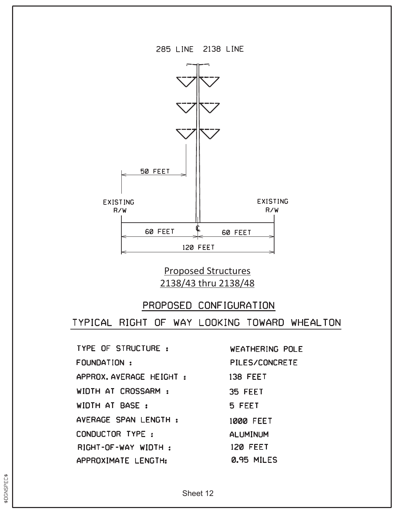



## Proposed Structures 2138/43 thru 2138/48

#### PROPOSED CONFIGURATION

TYPICAL RIGHT OF WAY LOOKING TOWARD WHEALTON

**TYPE OF STRUCTURE :** FOUNDATION : APPROX. AVERAGE HEIGHT : WIDTH AT CROSSARM : WIDTH AT BASE: AVERAGE SPAN LENGTH : CONDUCTOR TYPE : RIGHT-OF-WAY WIDTH: APPROXIMATE LENGTH:

**WEATHERING POLE PILES/CONCRETE 138 FEET** 35 FEET 5 FEET **1000 FEET ALUMINUM 120 FEET** 0.95 MILES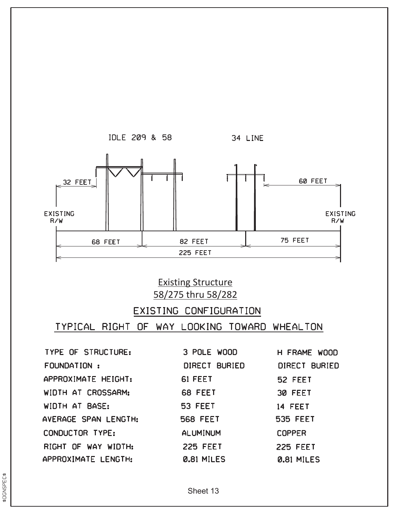

## Existing Structure 58/275 thru 58/282

## EXISTING CONFIGURATION

#### TYPICAL RIGHT OF WAY LOOKING TOWARD WHEALTON

TYPE OF STRUCTURE: FOUNDATION : APPROXIMATE HEIGHT: WIDTH AT CROSSARM: WIDTH AT BASE: AVERAGE SPAN LENGTH: CONDUCTOR TYPE: RIGHT OF WAY WIDTH: APPROXIMATE LENGTH:

| 3 POLE WOOD     | H FRAME WOOD    |
|-----------------|-----------------|
| DIRECT BURIED   | DIRECT BURIED   |
| 61 FEET         | 52 FEET         |
| 68 FEET         | 30 FEET         |
| <b>53 FEET</b>  | 14 FEET         |
| <b>568 FEET</b> | <b>535 FEET</b> |
| <b>ALUMINUM</b> | <b>COPPER</b>   |
| <b>225 FEET</b> | <b>225 FEET</b> |
| 0.81 MILES      | 0.81 MILES      |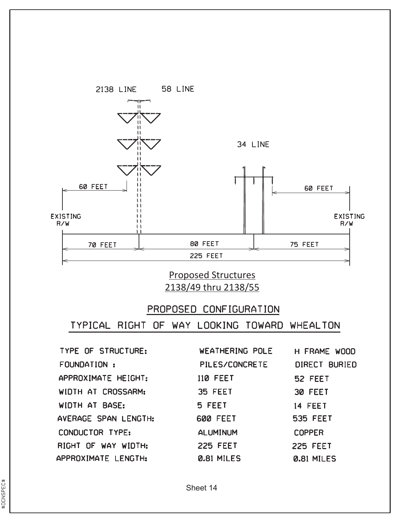

Proposed Structures 2138/49 thru 2138/55

#### PROPOSED CONFIGURATION

| TYPE OF STRUCTURE:   | <b>WEATHERING POLE</b> | H FRAME WOOD    |
|----------------------|------------------------|-----------------|
| FOUNDATION:          | PILES/CONCRETE         | DIRECT BURIED   |
| APPROXIMATE HEIGHT:  | <b>110 FEET</b>        | 52 FEET         |
| WIDTH AT CROSSARM:   | 35 FEET                | 30 FEET         |
| WIDTH AT BASE:       | 5 FEET                 | 14 FEET         |
| AVERAGE SPAN LENGTH: | <b>600 FEET</b>        | <b>535 FEET</b> |
| CONDUCTOR TYPE:      | <b>ALUMINUM</b>        | <b>COPPER</b>   |
| RIGHT OF WAY WIDTH:  | <b>225 FEET</b>        | <b>225 FEET</b> |
| APPROXIMATE LENGTH:  | 0.81 MILES             | 0.81 MILES      |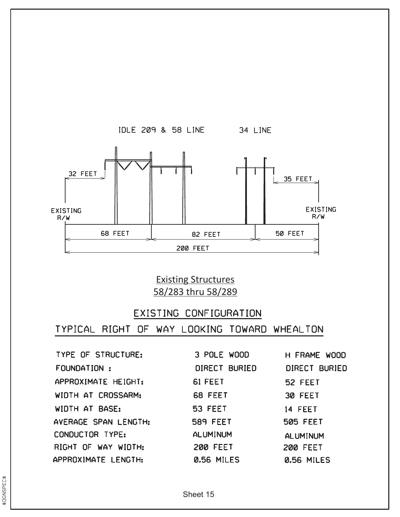

Existing Structures 58/283 thru 58/289

## EXISTING CONFIGURATION

| TYPE OF STRUCTURE:   | 3 POLE WOOD     | H FRAME WOOD         |
|----------------------|-----------------|----------------------|
| FOUNDATION :         | DIRECT BURIED   | <b>DIRECT BURIED</b> |
| APPROXIMATE HEIGHT:  | 61 FEET         | 52 FEET              |
| WIDTH AT CROSSARM:   | 68 FEET         | 30 FEET              |
| WIDTH AT BASE:       | <b>53 FEET</b>  | 14 FEET              |
| AVERAGE SPAN LENGTH: | <b>589 FEET</b> | <b>505 FEET</b>      |
| CONDUCTOR TYPE:      | <b>ALUMINUM</b> | <b>ALUMINUM</b>      |
| RIGHT OF WAY WIDTH:  | <b>200 FEET</b> | <b>200 FEET</b>      |
| APPROXIMATE LENGTH:  | 0.56 MILES      | <b>0.56 MILES</b>    |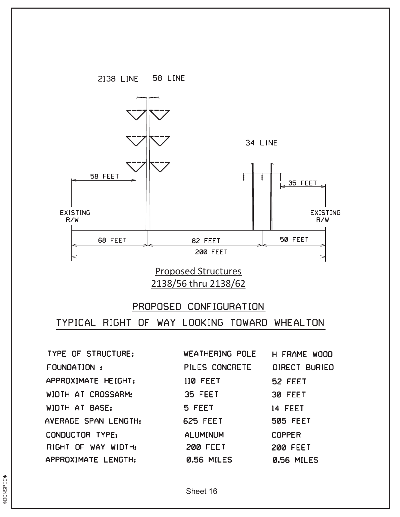

Proposed Structures 2138/56 thru 2138/62

# PROPOSED CONFIGURATION TYPICAL RIGHT OF WAY LOOKING TOWARD WHEALTON

TYPE OF STRUCTURE: FOUNDATION: APPROXIMATE HEIGHT: WIDTH AT CROSSARM: WIDTH AT BASE: AVERAGE SPAN LENGTH: CONDUCTOR TYPE: RIGHT OF WAY WIDTH: APPROXIMATE LENGTH:

WEATHERING POLE H FRAME WOOD PILES CONCRETE DIRECT BURIED **110 FEET** 52 FEET 30 FEET 35 FEET 5 FEET 14 FEET **625 FEET 505 FEET ALUMINUM COPPER 200 FEET 200 FEET 0.56 MILES** 0.56 MILES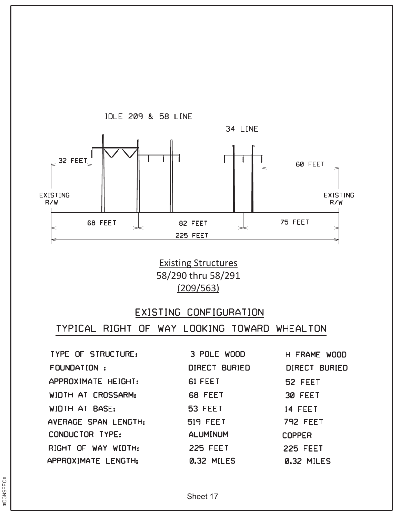

Existing Structures 58/290 thru 58/291 (209/563)

#### EXISTING CONFIGURATION

| TYPE OF STRUCTURE:   | 3 POLE WOOD     | H FRAME WOOD         |
|----------------------|-----------------|----------------------|
| FOUNDATION:          | DIRECT BURIED   | <b>DIRECT BURIED</b> |
| APPROXIMATE HEIGHT:  | 61 FEET         | 52 FEET              |
| WIDTH AT CROSSARM:   | 68 FEET         | 30 FEET              |
| WIDTH AT BASE:       | 53 FEET         | 14 FEET              |
| AVERAGE SPAN LENGTH: | <b>519 FEET</b> | <b>792 FEET</b>      |
| CONDUCTOR TYPE:      | <b>ALUMINUM</b> | <b>COPPER</b>        |
| RIGHT OF WAY WIDTH:  | <b>225 FEET</b> | <b>225 FEET</b>      |
| APPROXIMATE LENGTH:  | 0.32 MILES      | 0.32 MILES           |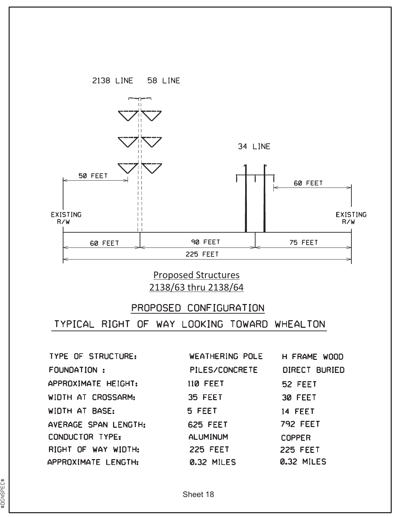

## Proposed Structures 2138/63 thru 2138/64

# PROPOSED CONFIGURATION TYPICAL RIGHT OF WAY LOOKING TOWARD WHEALTON

**TYPE OF STRUCTURE:** FOUNDATION : APPROXIMATE HEIGHT: WIDTH AT CROSSARM: WIDTH AT BASE: AVERAGE SPAN LENGTH: CONDUCTOR TYPE: RIGHT OF WAY WIDTH: APPROXIMATE LENGTH:

WEATHERING POLE PILES/CONCRETE **110 FEET** 35 FEET 5 FEET **625 FEET ALUMINUM 225 FEET** 0.32 MILES

H FRAME WOOD DIRECT BURIED 52 FEET 30 FEET 14 FEET **792 FEET COPPER 225 FEET** 0.32 MILES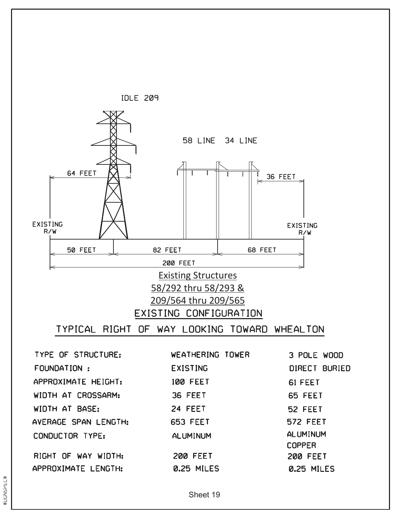

**ALUMINUM** CONDUCTOR TYPE: **ALUMINUM COPPER** RIGHT OF WAY WIDTH: **200 FEET 200 FEET** APPROXIMATE LENGTH: 0.25 MILES 0.25 MILES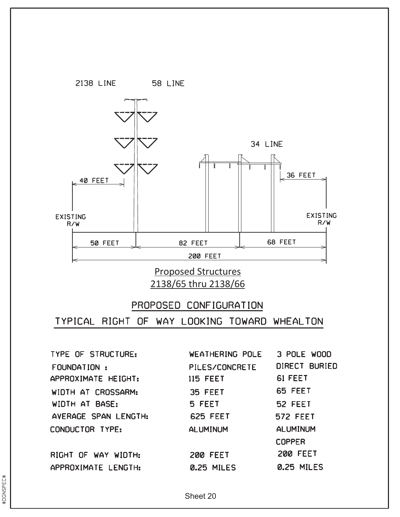

2138/65 thru 2138/66

# PROPOSED CONFIGURATION TYPICAL RIGHT OF WAY LOOKING TOWARD WHEALTON

**TYPE OF STRUCTURE:** FOUNDATION: APPROXIMATE HEIGHT: WIDTH AT CROSSARM: WIDTH AT BASE: AVERAGE SPAN LENGTH: CONDUCTOR TYPE:

RIGHT OF WAY WIDTH: APPROXIMATE LENGTH:

WEATHERING POLE PILES/CONCRETE **115 FEET** 35 FEET 5 FEET **625 FEET ALUMINUM 200 FEET** 0.25 MILES

3 POLE WOOD DIRECT BURIED 61 FEET 65 FEET 52 FEET **572 FEET ALUMINUM COPPER 200 FEET** 0.25 MILES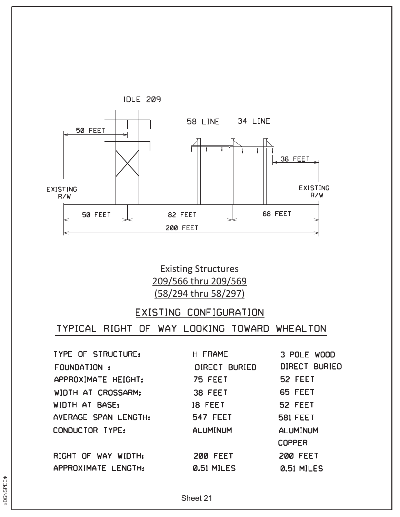

Existing Structures 209/566 thru 209/569 (58/294 thru 58/297)

#### EXISTING CONFIGURATION

| <b>H FRAME</b>    | 3 POLE WOOD                                   |
|-------------------|-----------------------------------------------|
| DIRECT BURIED     | DIRECT BURIED                                 |
| <b>75 FEET</b>    | 52 FEET                                       |
| 38 FEET           | 65 FEET                                       |
|                   | 52 FEET                                       |
|                   | <b>581 FEET</b>                               |
|                   | <b>ALUMINUM</b>                               |
|                   | <b>COPPER</b>                                 |
| <b>200 FEET</b>   | <b>200 FEET</b>                               |
| <b>0.51 MILES</b> | <b>0.51 MILES</b>                             |
|                   | 18 FEET<br><b>547 FEET</b><br><b>ALUMINUM</b> |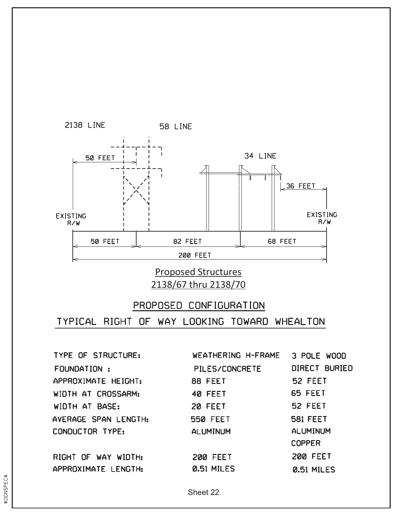

Proposed Structures 2138/67 thru 2138/70

# PROPOSED CONFIGURATION TYPICAL RIGHT OF WAY LOOKING TOWARD WHEALTON

TYPE OF STRUCTURE: WEATHERING H-FRAME 3 POLE WOOD **DIRECT BURIED** FOUNDATION: PILES/CONCRETE 52 FEET APPROXIMATE HEIGHT: 88 FEET 65 FEET WIDTH AT CROSSARM: 40 FEET 52 FEET WIDTH AT BASE: 20 FEET AVERAGE SPAN LENGTH: **581 FEET 550 FEET** CONDUCTOR TYPE: **ALUMINUM ALUMINUM COPPER 200 FEET** RIGHT OF WAY WIDTH: **200 FEET** APPROXIMATE LENGTH: **0.51 MILES 0.51 MILES**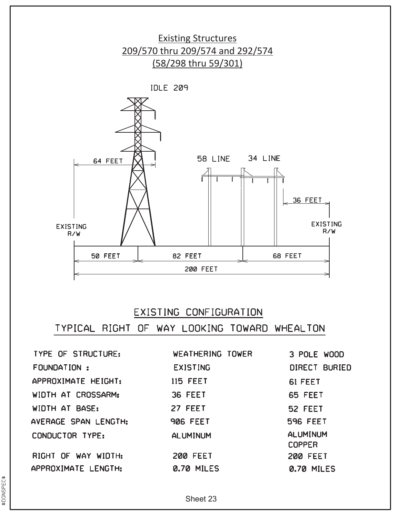

## EXISTING CONFIGURATION

TYPICAL RIGHT OF WAY LOOKING TOWARD WHEALTON

| <b>TYPE OF STRUCTURE:</b> | WEATHERING TOWER | 3 POLE WOOD                      |
|---------------------------|------------------|----------------------------------|
| FOUNDATION:               | <b>EXISTING</b>  | DIRECT BURIED                    |
| APPROXIMATE HEIGHT:       | <b>115 FEET</b>  | 61 FEET                          |
| WIDTH AT CROSSARM:        | 36 FEET          | 65 FEET                          |
| WIDTH AT BASE:            | 27 FEET          | 52 FEET                          |
| AVERAGE SPAN LENGTH:      | <b>906 FEET</b>  | <b>596 FEET</b>                  |
| CONDUCTOR TYPE:           | <b>ALUMINUM</b>  | <b>ALUMINUM</b><br><b>COPPER</b> |
| RIGHT OF WAY WIDTH:       | <b>200 FEET</b>  | <b>200 FEET</b>                  |
| APPROXIMATE LENGTH:       | 0.70 MILES       | 0.70 MILES                       |

\$DGNSPEC\$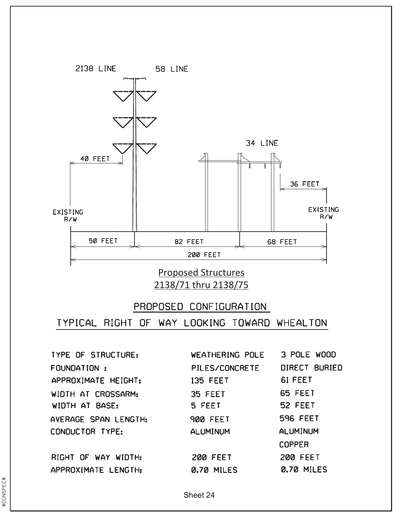

Proposed Structures 2138/71 thru 2138/75

# PROPOSED CONFIGURATION TYPICAL RIGHT OF WAY LOOKING TOWARD WHEALTON

**TYPE OF STRUCTURE:** FOUNDATION : APPROXIMATE HEIGHT: WIDTH AT CROSSARM: WIDTH AT BASE: AVERAGE SPAN LENGTH: CONDUCTOR TYPE:

RIGHT OF WAY WIDTH: APPROXIMATE LENGTH:

WEATHERING POLE 3 POLE WOOD PILES/CONCRETE **DIRECT BURIED** 61 FEET **135 FEET** 65 FEET 35 FEET 5 FEET 52 FEET **596 FEET 900 FEET ALUMINUM ALUMINUM COPPER 200 FEET 200 FEET** 0.70 MILES 0.70 MILES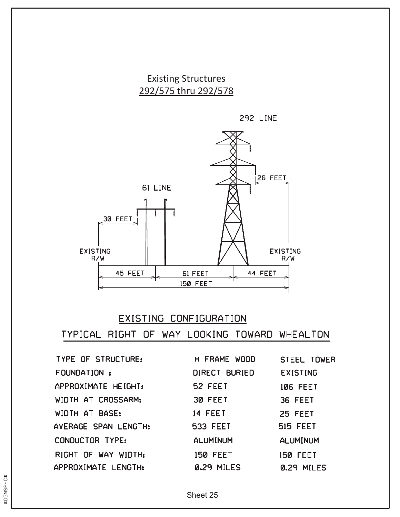





#### EXISTING CONFIGURATION

| <b>TYPE OF STRUCTURE:</b> | H FRAME WOOD         | <b>STEEL TOWER</b> |
|---------------------------|----------------------|--------------------|
| FOUNDATION:               | <b>DIRECT BURIED</b> | <b>EXISTING</b>    |
| APPROXIMATE HEIGHT:       | 52 FEET              | <b>106 FEET</b>    |
| WIDTH AT CROSSARM:        | 30 FEET              | 36 FEET            |
| WIDTH AT BASE:            | 14 FEET              | 25 FEET            |
| AVERAGE SPAN LENGTH:      | <b>533 FEET</b>      | <b>515 FEET</b>    |
| CONDUCTOR TYPE:           | <b>ALUMINUM</b>      | <b>ALUMINUM</b>    |
| RIGHT OF WAY WIDTH:       | <b>150 FEET</b>      | <b>150 FEET</b>    |
| APPROXIMATE LENGTH:       | 0.29 MILES           | 0.29 MILES         |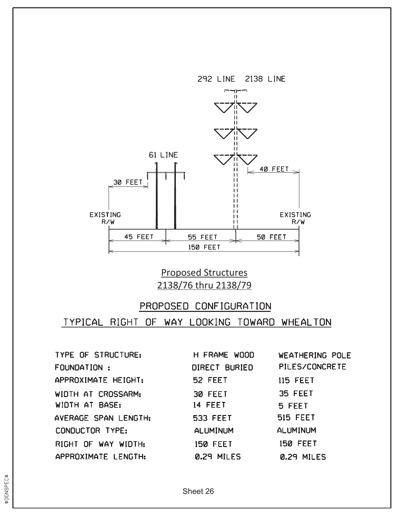

Proposed Structures 2138/76 thru 2138/79

# PROPOSED CONFIGURATION TYPICAL RIGHT OF WAY LOOKING TOWARD WHEALTON

| TYPE OF STRUCTURE:   | H FRAME WOOD    | <b>WEATHERING POLE</b> |
|----------------------|-----------------|------------------------|
| FOUNDATION:          | DIRECT BURIED   | PILES/CONCRETE         |
| APPROXIMATE HEIGHT:  | 52 FEET         | <b>115 FEET</b>        |
| WIDTH AT CROSSARM:   | 30 FEET         | 35 FEET                |
| WIDTH AT BASE:       | 14 FEET         | 5 FEET                 |
| AVERAGE SPAN LENGTH: | <b>533 FEET</b> | <b>515 FEET</b>        |
| CONDUCTOR TYPE:      | <b>ALUMINUM</b> | <b>ALUMINUM</b>        |
| RIGHT OF WAY WIDTH:  | <b>150 FEET</b> | <b>150 FEET</b>        |
| APPROXIMATE LENGTH:  | 0.29 MILES      | 0.29 MILES             |

\$DGNSPEC\$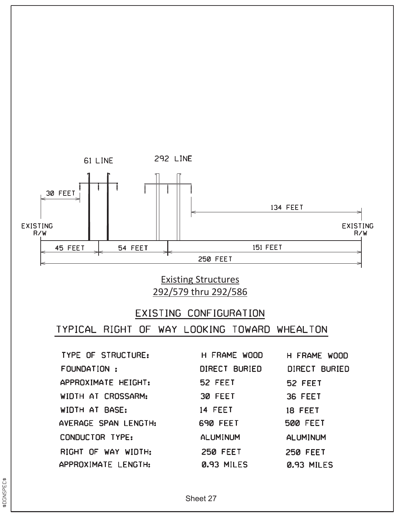

## Existing Structures 292/579 thru 292/586

## EXISTING CONFIGURATION

TYPICAL RIGHT OF WAY LOOKING TOWARD WHEALTON

| <b>TYPE OF STRUCTURE:</b> | H FRAME WOOD    | H FRAME WOOD    |
|---------------------------|-----------------|-----------------|
| <b>FOUNDATION:</b>        | DIRECT BURIED   | DIRECT BURIED   |
| APPROXIMATE HEIGHT:       | 52 FEET         | 52 FEET         |
| WIDTH AT CROSSARM:        | 30 FEET         | 36 FEET         |
| WIDTH AT BASE:            | 14 FEET         | 18 FEET         |
| AVERAGE SPAN LENGTH:      | 690 FEET        | <b>500 FEET</b> |
| CONDUCTOR TYPE:           | <b>ALUMINUM</b> | <b>ALUMINUM</b> |
| RIGHT OF WAY WIDTH:       | <b>250 FEET</b> | <b>250 FEET</b> |
| APPROXIMATE LENGTH:       | 0.93 MILES      | 0.93 MILES      |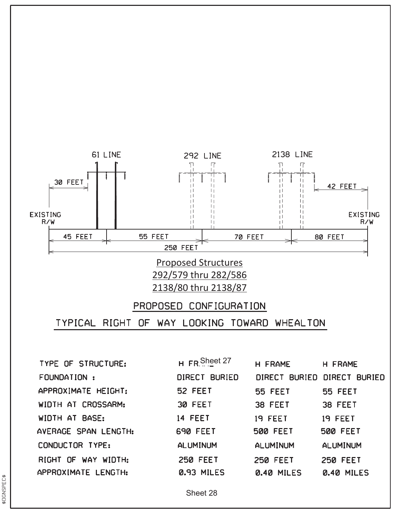





**TYPE OF STRUCTURE:** FOUNDATION : APPROXIMATE HEIGHT: WIDTH AT CROSSARM: WIDTH AT BASE: AVERAGE SPAN LENGTH: CONDUCTOR TYPE: RIGHT OF WAY WIDTH: APPROXIMATE LENGTH:

| H FR Sheet 27   | H FRAME         | H FRAME                     |
|-----------------|-----------------|-----------------------------|
| DIRECT BURIED   |                 | DIRECT BURIED DIRECT BURIED |
| 52 FEET         | <b>55 FEET</b>  | <b>55 FEET</b>              |
| 30 FEET         | 38 FEET         | 38 FEET                     |
| 14 FEET         | 19 FEET         | <b>19 FEET</b>              |
| 690 FEET        | <b>500 FEET</b> | <b>500 FEET</b>             |
| <b>ALUMINUM</b> | <b>ALUMINUM</b> | ALUMINUM                    |
| <b>250 FEET</b> | <b>250 FEET</b> | <b>250 FEET</b>             |
| 0.93 MILES      | 0.40 MILES      | 0.40 MILES                  |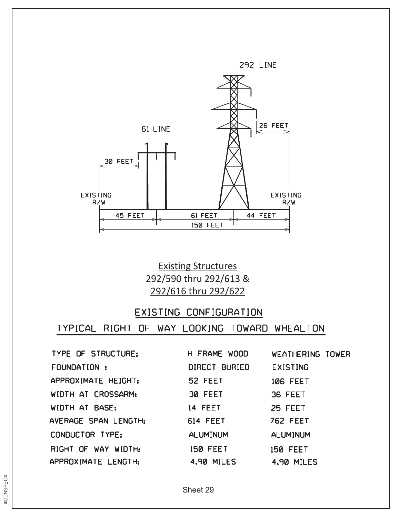

Existing Structures 292/590 thru 292/613 & 292/616 thru 292/622

#### EXISTING CONFIGURATION

| TYPE OF STRUCTURE:   | H FRAME WOOD      | WEATHERING TOWER  |
|----------------------|-------------------|-------------------|
| FOUNDATION :         | DIRECT BURIED     | <b>EXISTING</b>   |
| APPROXIMATE HEIGHT:  | 52 FEET           | <b>106 FEET</b>   |
| WIDTH AT CROSSARM:   | 30 FEET           | 36 FEET           |
| WIDTH AT BASE:       | <b>14 FEET</b>    | 25 FEET           |
| AVERAGE SPAN LENGTH: | <b>614 FEET</b>   | <b>762 FEET</b>   |
| CONDUCTOR TYPE:      | <b>ALUMINUM</b>   | <b>ALUMINUM</b>   |
| RIGHT OF WAY WIDTH:  | <b>150 FEET</b>   | <b>150 FEET</b>   |
| APPROXIMATE LENGTH:  | <b>4.90 MILES</b> | <b>4.90 MILES</b> |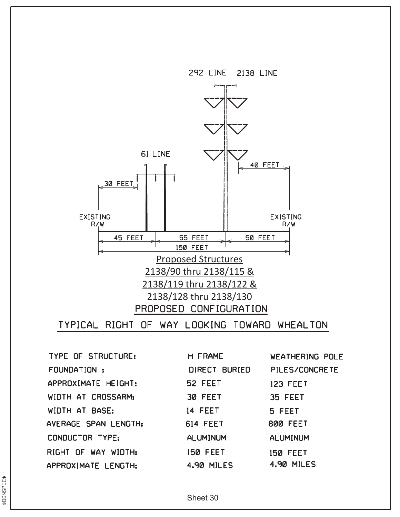

**TYPE OF STRUCTURE:** FOUNDATION: APPROXIMATE HEIGHT: WIDTH AT CROSSARM: WIDTH AT BASE: AVERAGE SPAN LENGTH: CONDUCTOR TYPE: RIGHT OF WAY WIDTH: APPROXIMATE LENGTH:

H FRAME **WEATHERING POLE** DIRECT BURIED PILES/CONCRETE 52 FEET **123 FEET** 30 FEET 35 FEET 14 FEET 5 FEET **614 FEET 800 FEET ALUMINUM ALUMINUM 150 FEET 150 FEET 4.90 MILES 4.90 MILES** 

Sheet 30

\$DGNSPEC\$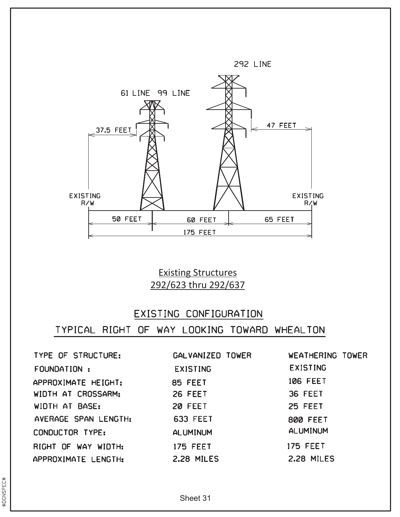

Existing Structures 292/623 thru 292/637

## EXISTING CONFIGURATION

| TYPE OF STRUCTURE:   | GALVANIZED TOWER  | WEATHERING TOWER |
|----------------------|-------------------|------------------|
| FOUNDATION :         | <b>EXISTING</b>   | <b>EXISTING</b>  |
| APPROXIMATE HEIGHT:  | 85 FEET           | <b>106 FEET</b>  |
| WIDTH AT CROSSARM:   | <b>26 FEET</b>    | 36 FEET          |
| WIDTH AT BASE:       | 20 FEET           | 25 FEET          |
| AVERAGE SPAN LENGTH: | <b>633 FEET</b>   | <b>800 FEET</b>  |
| CONDUCTOR TYPE:      | <b>ALUMINUM</b>   | <b>ALUMINUM</b>  |
| RIGHT OF WAY WIDTH:  | <b>175 FEET</b>   | <b>175 FEET</b>  |
| APPROXIMATE LENGTH:  | <b>2.28 MILES</b> | 2.28 MILES       |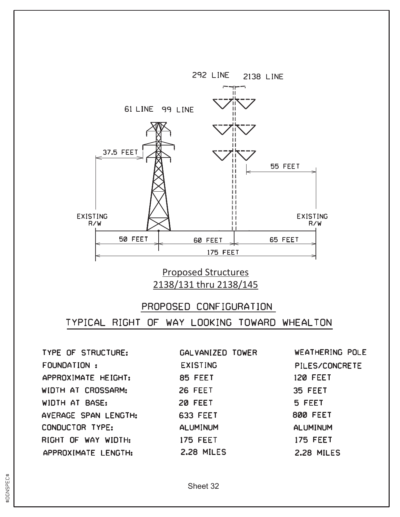

#### Proposed Structures 2138/131 thru 2138/145

# PROPOSED CONFIGURATION TYPICAL RIGHT OF WAY LOOKING TOWARD WHEALTON

**TYPE OF STRUCTURE: FOUNDATION:** APPROXIMATE HEIGHT: WIDTH AT CROSSARM: WIDTH AT BASE: AVERAGE SPAN LENGTH: CONDUCTOR TYPE: RIGHT OF WAY WIDTH: APPROXIMATE LENGTH:

GALVANIZED TOWER **EXISTING** 85 FEET 26 FEET 20 FEET **633 FEET ALUMINUM 175 FEET** 2.28 MILES

WEATHERING POLE **PILES/CONCRETE 120 FEET** 35 FEET 5 FEET **800 FEET ALUMINUM 175 FEET 2.28 MILES**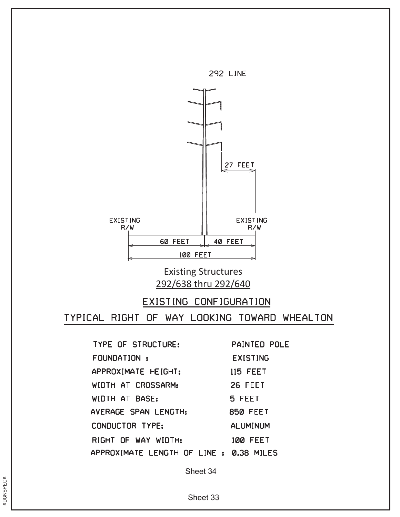

## Existing Structures 292/638 thru 292/640

#### EXISTING CONFIGURATION

TYPICAL RIGHT OF WAY LOOKING TOWARD WHEALTON

TYPE OF STRUCTURE: **PAINTED POLE** FOUNDATION : **EXISTING** APPROXIMATE HEIGHT: **115 FEET** WIDTH AT CROSSARM: 26 FEET WIDTH AT BASE: 5 FEET AVERAGE SPAN LENGTH: **850 FEET** CONDUCTOR TYPE: **ALUMINUM** RIGHT OF WAY WIDTH: **100 FEET** APPROXIMATE LENGTH OF LINE : 0.38 MILES

Sheet 34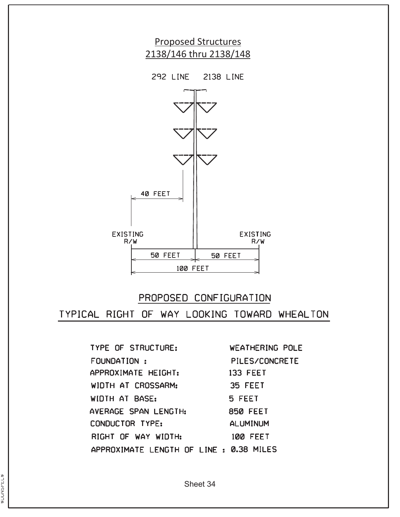

# PROPOSED CONFIGURATION TYPICAL RIGHT OF WAY LOOKING TOWARD WHEALTON

TYPE OF STRUCTURE: WEATHERING POLE FOUNDATION : **PILES/CONCRETE** APPROXIMATE HEIGHT: **133 FEET** WIDTH AT CROSSARM: 35 FEET WIDTH AT BASE: 5 FEET AVERAGE SPAN LENGTH: **850 FEET** CONDUCTOR TYPE: **ALUMINUM** RIGHT OF WAY WIDTH: **100 FEET** APPROXIMATE LENGTH OF LINE : 0.38 MILES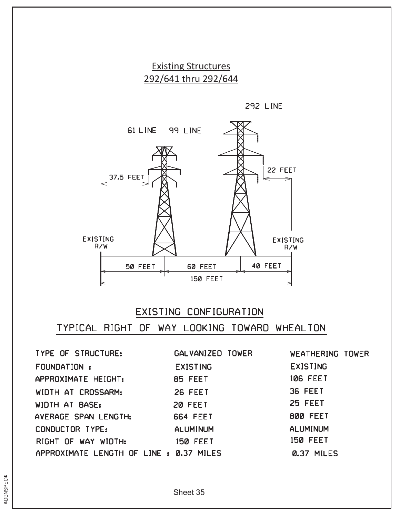Existing Structures 292/641 thru 292/644

292 LINE



# EXISTING CONFIGURATION

| TYPE OF STRUCTURE:                      | GALVANIZED TOWER | WEATHERING TOWER |
|-----------------------------------------|------------------|------------------|
| FOUNDATION :                            | <b>EXISTING</b>  | <b>EXISTING</b>  |
| APPROXIMATE HEIGHT:                     | 85 FEET          | <b>106 FEET</b>  |
| WIDTH AT CROSSARM:                      | 26 FEET          | 36 FEET          |
| WIDTH AT BASE:                          | 20 FEET          | <b>25 FEET</b>   |
| AVERAGE SPAN LENGTH:                    | <b>664 FEET</b>  | <b>800 FEET</b>  |
| CONDUCTOR TYPE:                         | <b>ALUMINUM</b>  | <b>ALUMINUM</b>  |
| RIGHT OF WAY WIDTH:                     | <b>150 FEET</b>  | <b>150 FEET</b>  |
| APPROXIMATE LENGTH OF LINE : 0.37 MILES |                  | 0.37 MILES       |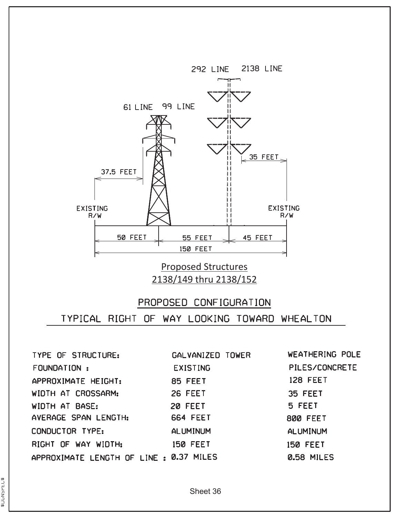

Proposed Structures 2138/149 thru 2138/152

## PROPOSED CONFIGURATION TYPICAL RIGHT OF WAY LOOKING TOWARD WHEALTON

**WEATHERING POLE TYPE OF STRUCTURE:** GALVANIZED TOWER PILES/CONCRETE FOUNDATION : **EXISTING 128 FEET** 85 FEET APPROXIMATE HEIGHT: WIDTH AT CROSSARM: 26 FEET 35 FEET WIDTH AT BASE: 5 FEET 20 FEET AVERAGE SPAN LENGTH: **664 FEET 800 FEET** CONDUCTOR TYPE: **ALUMINUM ALUMINUM** RIGHT OF WAY WIDTH: **150 FEET 150 FEET** APPROXIMATE LENGTH OF LINE : 0.37 MILES **0.58 MILES**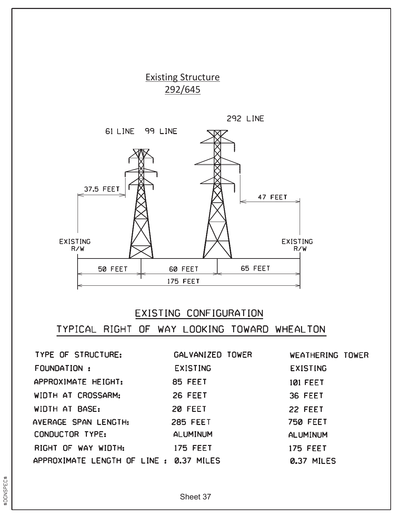

# EXISTING CONFIGURATION

| TYPE OF STRUCTURE:                      | GALVANIZED TOWER | WEATHERING TOWER |
|-----------------------------------------|------------------|------------------|
| FOUNDATION :                            | <b>EXISTING</b>  | <b>EXISTING</b>  |
| APPROXIMATE HEIGHT:                     | 85 FEET          | <b>101 FEET</b>  |
| WIDTH AT CROSSARM:                      | <b>26 FEET</b>   | 36 FEET          |
| WIDTH AT BASE:                          | 20 FEET          | 22 FEET          |
| AVERAGE SPAN LENGTH:                    | <b>285 FEET</b>  | <b>750 FEET</b>  |
| CONDUCTOR TYPE:                         | <b>ALUMINUM</b>  | <b>ALUMINUM</b>  |
| RIGHT OF WAY WIDTH:                     | <b>175 FEET</b>  | <b>175 FEET</b>  |
| APPROXIMATE LENGTH OF LINE : 0.37 MILES |                  | 0.37 MILES       |